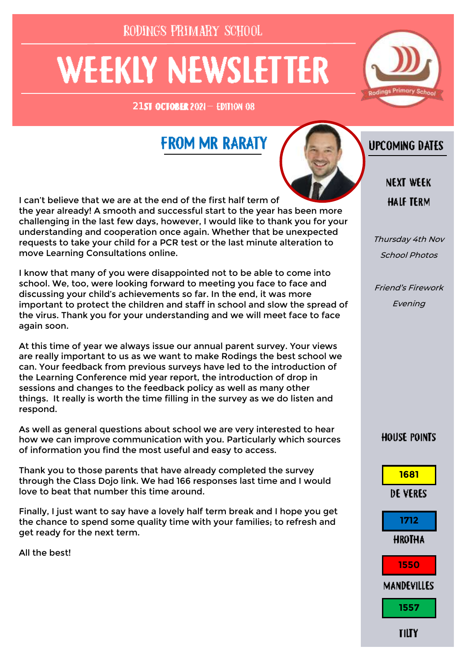RODINGS PRIMARY SCHOOL

# **WEEKLY NEWSLETTER**

 $21$  ST OCTOBER 2021 - EDITION 08



### **FROM MR RARATY**



I can't believe that we are at the end of the first half term of the year already! A smooth and successful start to the year has been more challenging in the last few days, however, I would like to thank you for your understanding and cooperation once again. Whether that be unexpected requests to take your child for a PCR test or the last minute alteration to move Learning Consultations online.

I know that many of you were disappointed not to be able to come into school. We, too, were looking forward to meeting you face to face and discussing your child's achievements so far. In the end, it was more important to protect the children and staff in school and slow the spread of the virus. Thank you for your understanding and we will meet face to face again soon.

At this time of year we always issue our annual parent survey. Your views are really important to us as we want to make Rodings the best school we can. Your feedback from previous surveys have led to the introduction of the Learning Conference mid year report, the introduction of drop in sessions and changes to the feedback policy as well as many other things. It really is worth the time filling in the survey as we do listen and respond.

As well as general questions about school we are very interested to hear how we can improve communication with you. Particularly which sources of information you find the most useful and easy to access.

Thank you to those parents that have already completed the survey through the Class Dojo link. We had 166 responses last time and I would love to beat that number this time around.

Finally, I just want to say have a lovely half term break and I hope you get the chance to spend some quality time with your families; to refresh and get ready for the next term.

All the best!

**UPCOMING DATES** 

**NEXT WEEK HALF TERM** 

Thursday 4th Nov School Photos

Friend's Firework Evening

**HOUSE POINTS** 

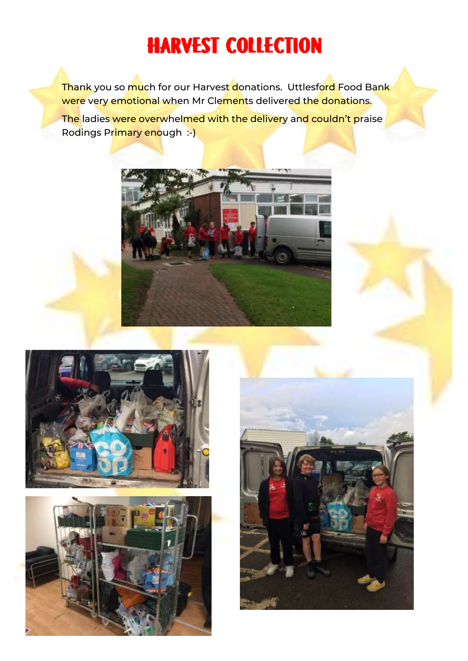## **HARVEST COLLECTION**

Thank you so much for our Harvest donations. Uttlesford Food Bank were very emotional when Mr Clements delivered the donations. The ladies were overwhelmed with the delivery and couldn't praise Rodings Primary enough :-)







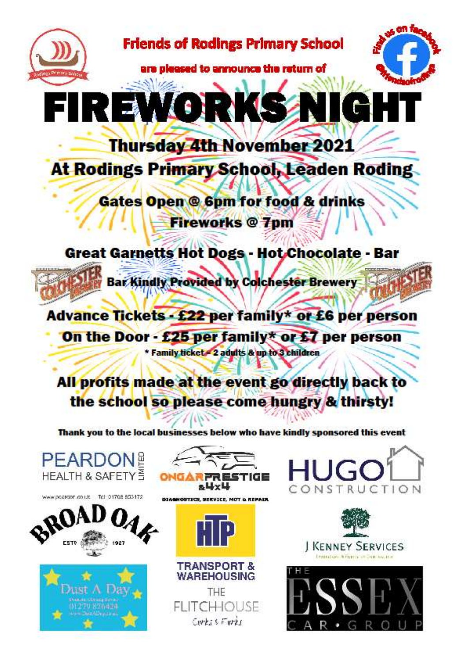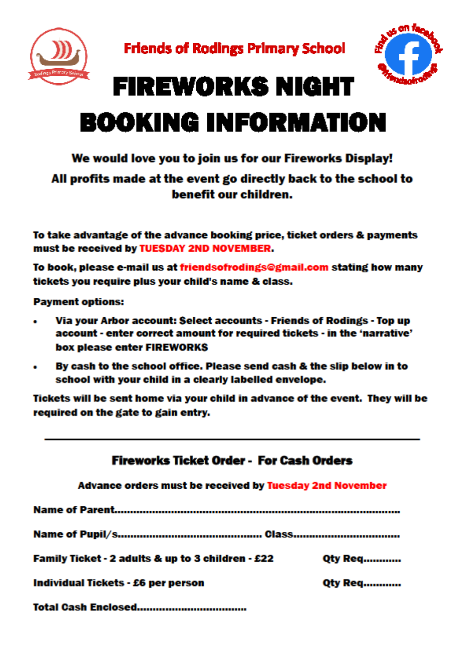



## **FIREWORKS NIGHT BOOKING INFORMATION**

#### We would love you to join us for our Fireworks Display!

#### All profits made at the event go directly back to the school to benefit our children.

To take advantage of the advance booking price, ticket orders & payments must be received by TUESDAY 2ND NOVEMBER.

To book, please e-mail us at friendsofrodings@gmail.com stating how many tickets you require plus your child's name & class.

**Payment options:** 

- Via your Arbor account: Select accounts Friends of Rodings Top up  $\bullet$ account - enter correct amount for required tickets - in the 'narrative' box please enter FIREWORKS
- By cash to the school office. Please send cash & the slip below in to  $\bullet$ school with your child in a clearly labelled envelope.

Tickets will be sent home via your child in advance of the event. They will be required on the gate to gain entry.

| Fireworks Ticket Order - For Cash Orders<br>Advance orders must be received by Tuesday 2nd November |                |
|-----------------------------------------------------------------------------------------------------|----------------|
|                                                                                                     |                |
|                                                                                                     |                |
| Family Ticket - 2 adults & up to 3 children - £22                                                   | <b>Qty Req</b> |
| Individual Tickets - £6 per person                                                                  | <b>Qty Req</b> |
| Total Caeh Enclosed                                                                                 |                |